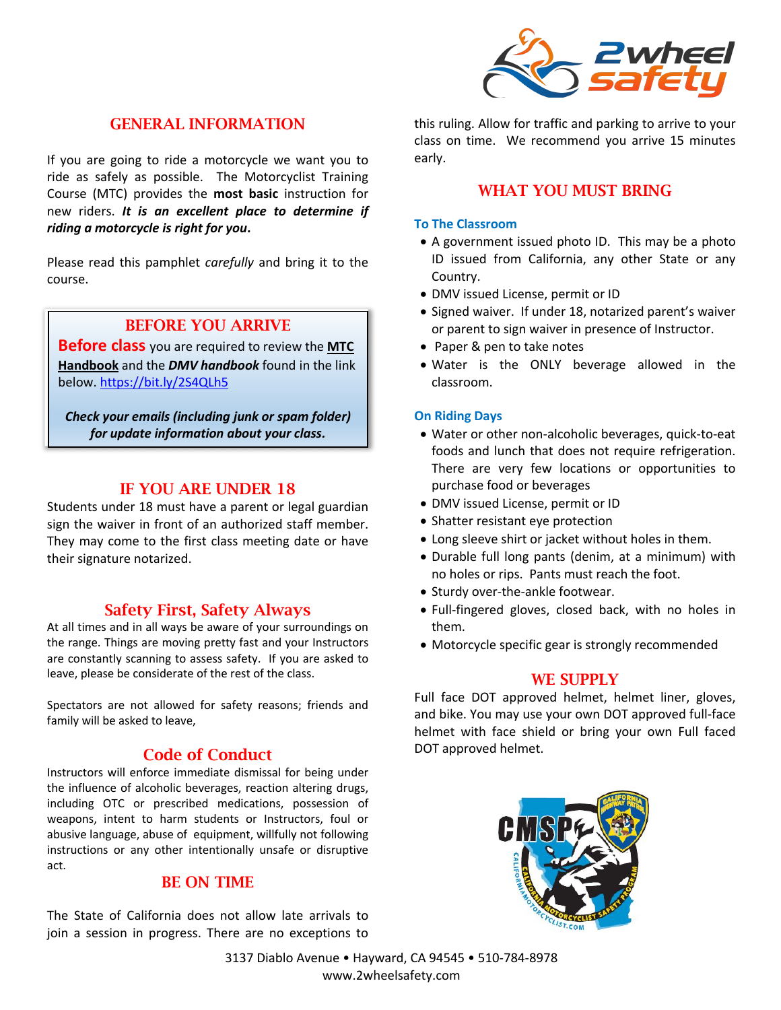

# GENERAL INFORMATION

If you are going to ride a motorcycle we want you to ride as safely as possible. The Motorcyclist Training Course (MTC) provides the **most basic** instruction for new riders. *It is an excellent place to determine if riding a motorcycle is right for you***.** 

Please read this pamphlet *carefully* and bring it to the course.

# BEFORE YOU ARRIVE

**Before class** you are required to review the **MTC Handbook** and the *DMV handbook* found in the link below. https://bit.ly/2S4QLh5

*Check your emails (including junk or spam folder) for update information about your class.* 

# IF YOU ARE UNDER 18

Students under 18 must have a parent or legal guardian sign the waiver in front of an authorized staff member. They may come to the first class meeting date or have their signature notarized.

# Safety First, Safety Always

At all times and in all ways be aware of your surroundings on the range. Things are moving pretty fast and your Instructors are constantly scanning to assess safety. If you are asked to leave, please be considerate of the rest of the class.

Spectators are not allowed for safety reasons; friends and family will be asked to leave,

# Code of Conduct

Instructors will enforce immediate dismissal for being under the influence of alcoholic beverages, reaction altering drugs, including OTC or prescribed medications, possession of weapons, intent to harm students or Instructors, foul or abusive language, abuse of equipment, willfully not following instructions or any other intentionally unsafe or disruptive act.

### BE ON TIME

The State of California does not allow late arrivals to join a session in progress. There are no exceptions to this ruling. Allow for traffic and parking to arrive to your class on time. We recommend you arrive 15 minutes early.

### WHAT YOU MUST BRING

#### **To The Classroom**

- A government issued photo ID. This may be a photo ID issued from California, any other State or any Country.
- DMV issued License, permit or ID
- Signed waiver. If under 18, notarized parent's waiver or parent to sign waiver in presence of Instructor.
- Paper & pen to take notes
- Water is the ONLY beverage allowed in the classroom.

#### **On Riding Days**

- Water or other non-alcoholic beverages, quick-to-eat foods and lunch that does not require refrigeration. There are very few locations or opportunities to purchase food or beverages
- DMV issued License, permit or ID
- Shatter resistant eye protection
- Long sleeve shirt or jacket without holes in them.
- Durable full long pants (denim, at a minimum) with no holes or rips. Pants must reach the foot.
- Sturdy over-the-ankle footwear.
- Full-fingered gloves, closed back, with no holes in them.
- Motorcycle specific gear is strongly recommended

### WE SUPPLY

Full face DOT approved helmet, helmet liner, gloves, and bike. You may use your own DOT approved full-face helmet with face shield or bring your own Full faced DOT approved helmet.



3137 Diablo Avenue • Hayward, CA 94545 • 510-784-8978 www.2wheelsafety.com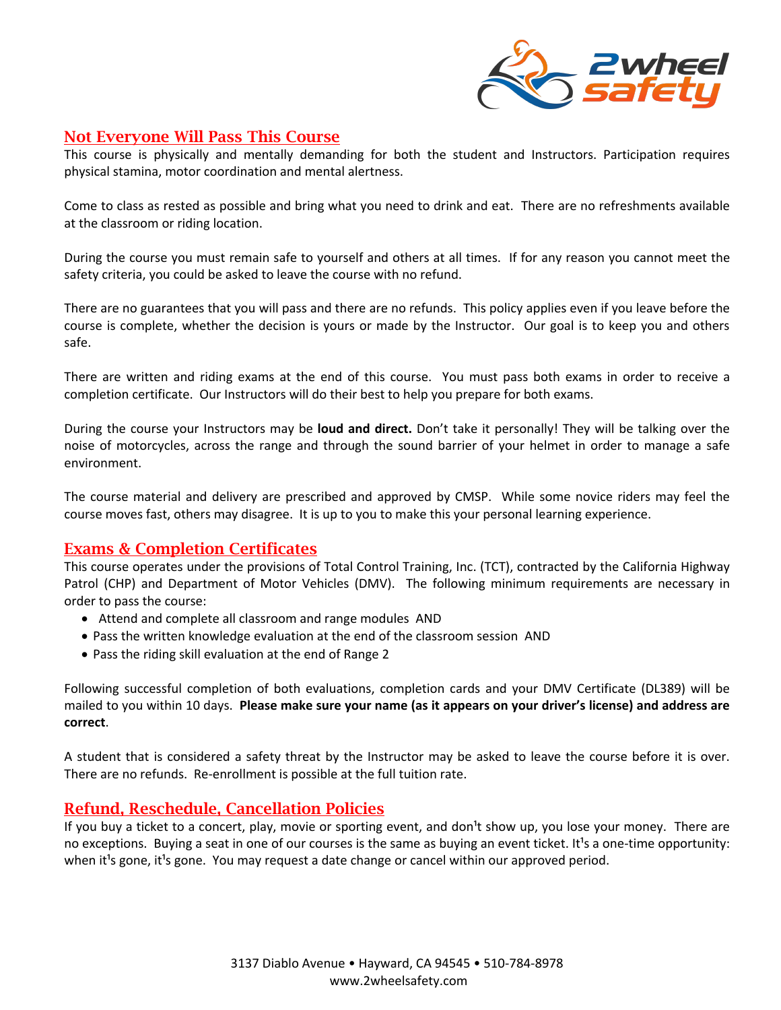

# Not Everyone Will Pass This Course

This course is physically and mentally demanding for both the student and Instructors. Participation requires physical stamina, motor coordination and mental alertness.

Come to class as rested as possible and bring what you need to drink and eat. There are no refreshments available at the classroom or riding location.

During the course you must remain safe to yourself and others at all times. If for any reason you cannot meet the safety criteria, you could be asked to leave the course with no refund.

There are no guarantees that you will pass and there are no refunds. This policy applies even if you leave before the course is complete, whether the decision is yours or made by the Instructor. Our goal is to keep you and others safe.

There are written and riding exams at the end of this course. You must pass both exams in order to receive a completion certificate. Our Instructors will do their best to help you prepare for both exams.

During the course your Instructors may be **loud and direct.** Don't take it personally! They will be talking over the noise of motorcycles, across the range and through the sound barrier of your helmet in order to manage a safe environment.

The course material and delivery are prescribed and approved by CMSP. While some novice riders may feel the course moves fast, others may disagree. It is up to you to make this your personal learning experience.

# Exams & Completion Certificates

This course operates under the provisions of Total Control Training, Inc. (TCT), contracted by the California Highway Patrol (CHP) and Department of Motor Vehicles (DMV). The following minimum requirements are necessary in order to pass the course:

- Attend and complete all classroom and range modules AND
- Pass the written knowledge evaluation at the end of the classroom session AND
- Pass the riding skill evaluation at the end of Range 2

Following successful completion of both evaluations, completion cards and your DMV Certificate (DL389) will be mailed to you within 10 days. **Please make sure your name (as it appears on your driver's license) and address are correct**.

A student that is considered a safety threat by the Instructor may be asked to leave the course before it is over. There are no refunds. Re-enrollment is possible at the full tuition rate.

# Refund, Reschedule, Cancellation Policies

If you buy a ticket to a concert, play, movie or sporting event, and don<sup>1</sup>t show up, you lose your money. There are no exceptions. Buying a seat in one of our courses is the same as buying an event ticket. It<sup>1</sup>s a one-time opportunity: when it<sup>1</sup>s gone, it<sup>1</sup>s gone. You may request a date change or cancel within our approved period.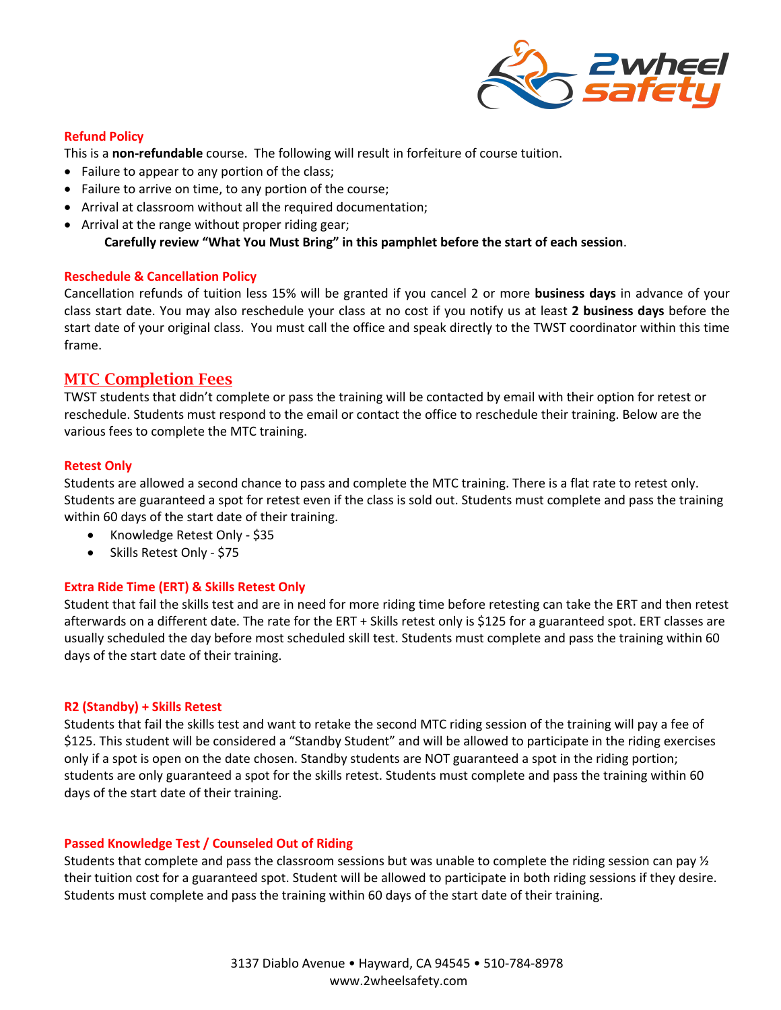

### **Refund Policy**

This is a **non-refundable** course. The following will result in forfeiture of course tuition.

- Failure to appear to any portion of the class;
- Failure to arrive on time, to any portion of the course;
- Arrival at classroom without all the required documentation;
- Arrival at the range without proper riding gear;

**Carefully review "What You Must Bring" in this pamphlet before the start of each session**.

#### **Reschedule & Cancellation Policy**

Cancellation refunds of tuition less 15% will be granted if you cancel 2 or more **business days** in advance of your class start date. You may also reschedule your class at no cost if you notify us at least **2 business days** before the start date of your original class. You must call the office and speak directly to the TWST coordinator within this time frame.

### MTC Completion Fees

TWST students that didn't complete or pass the training will be contacted by email with their option for retest or reschedule. Students must respond to the email or contact the office to reschedule their training. Below are the various fees to complete the MTC training.

### **Retest Only**

Students are allowed a second chance to pass and complete the MTC training. There is a flat rate to retest only. Students are guaranteed a spot for retest even if the class is sold out. Students must complete and pass the training within 60 days of the start date of their training.

- Knowledge Retest Only \$35
- Skills Retest Only \$75

#### **Extra Ride Time (ERT) & Skills Retest Only**

Student that fail the skills test and are in need for more riding time before retesting can take the ERT and then retest afterwards on a different date. The rate for the ERT + Skills retest only is \$125 for a guaranteed spot. ERT classes are usually scheduled the day before most scheduled skill test. Students must complete and pass the training within 60 days of the start date of their training.

#### **R2 (Standby) + Skills Retest**

Students that fail the skills test and want to retake the second MTC riding session of the training will pay a fee of \$125. This student will be considered a "Standby Student" and will be allowed to participate in the riding exercises only if a spot is open on the date chosen. Standby students are NOT guaranteed a spot in the riding portion; students are only guaranteed a spot for the skills retest. Students must complete and pass the training within 60 days of the start date of their training.

#### **Passed Knowledge Test / Counseled Out of Riding**

Students that complete and pass the classroom sessions but was unable to complete the riding session can pay ½ their tuition cost for a guaranteed spot. Student will be allowed to participate in both riding sessions if they desire. Students must complete and pass the training within 60 days of the start date of their training.